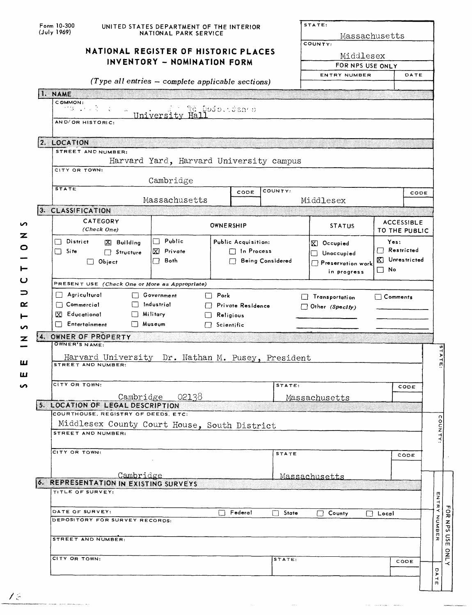| <b>I. NAME</b><br>$\perp$ | COMMON:<br>グロース・マー<br>AND/OR HISTORIC:<br>2. LOCATION<br>STREET AND NUMBER:<br>CITY OR TOWN:<br><b>STATE</b><br>3. CLASSIFICATION<br>CATEGORY<br>(Check One)<br>District<br>$[X]$ Building<br>$\Box$ Site<br>$\Box$ Structure<br>$\Box$ Object<br>PRESENT USE (Check One or More as Appropriate) | INVENTORY - NOMINATION FORM<br>(Type all entries - complete applicable sections)<br>University<br>Hal:<br>Harvard Yard, Harvard University campus<br>Cambridge<br>Massachusetts<br>$\Box$ Public<br>$\overline{X}$ Private<br>Both<br>П | te pofolitan o<br>CODE<br>OWNERSHIP<br>Public Acquisition:<br>$\Box$ In Process<br><b>Being Considered</b> | COUNTY:      | Middlesex<br>FOR NPS USE ONLY<br>ENTRY NUMBER<br>Middlesex<br><b>STATUS</b><br>$\mathbb{R}$ Occupied<br>Unoccupied | Yes:            | DATE<br>CODE<br><b>ACCESSIBLE</b><br>TO THE PUBLIC |  |
|---------------------------|--------------------------------------------------------------------------------------------------------------------------------------------------------------------------------------------------------------------------------------------------------------------------------------------------|-----------------------------------------------------------------------------------------------------------------------------------------------------------------------------------------------------------------------------------------|------------------------------------------------------------------------------------------------------------|--------------|--------------------------------------------------------------------------------------------------------------------|-----------------|----------------------------------------------------|--|
|                           |                                                                                                                                                                                                                                                                                                  |                                                                                                                                                                                                                                         |                                                                                                            |              |                                                                                                                    |                 |                                                    |  |
|                           |                                                                                                                                                                                                                                                                                                  |                                                                                                                                                                                                                                         |                                                                                                            |              |                                                                                                                    |                 |                                                    |  |
|                           |                                                                                                                                                                                                                                                                                                  |                                                                                                                                                                                                                                         |                                                                                                            |              |                                                                                                                    |                 |                                                    |  |
|                           |                                                                                                                                                                                                                                                                                                  |                                                                                                                                                                                                                                         |                                                                                                            |              |                                                                                                                    |                 |                                                    |  |
|                           |                                                                                                                                                                                                                                                                                                  |                                                                                                                                                                                                                                         |                                                                                                            |              |                                                                                                                    |                 |                                                    |  |
|                           |                                                                                                                                                                                                                                                                                                  |                                                                                                                                                                                                                                         |                                                                                                            |              |                                                                                                                    |                 |                                                    |  |
|                           |                                                                                                                                                                                                                                                                                                  |                                                                                                                                                                                                                                         |                                                                                                            |              |                                                                                                                    |                 |                                                    |  |
|                           |                                                                                                                                                                                                                                                                                                  |                                                                                                                                                                                                                                         |                                                                                                            |              |                                                                                                                    |                 |                                                    |  |
|                           |                                                                                                                                                                                                                                                                                                  |                                                                                                                                                                                                                                         |                                                                                                            |              |                                                                                                                    |                 |                                                    |  |
|                           |                                                                                                                                                                                                                                                                                                  |                                                                                                                                                                                                                                         |                                                                                                            |              |                                                                                                                    |                 |                                                    |  |
|                           |                                                                                                                                                                                                                                                                                                  |                                                                                                                                                                                                                                         |                                                                                                            |              |                                                                                                                    |                 |                                                    |  |
|                           |                                                                                                                                                                                                                                                                                                  |                                                                                                                                                                                                                                         |                                                                                                            |              |                                                                                                                    |                 |                                                    |  |
|                           |                                                                                                                                                                                                                                                                                                  |                                                                                                                                                                                                                                         |                                                                                                            |              |                                                                                                                    |                 |                                                    |  |
|                           |                                                                                                                                                                                                                                                                                                  |                                                                                                                                                                                                                                         |                                                                                                            |              |                                                                                                                    |                 |                                                    |  |
|                           |                                                                                                                                                                                                                                                                                                  |                                                                                                                                                                                                                                         |                                                                                                            |              |                                                                                                                    |                 |                                                    |  |
|                           |                                                                                                                                                                                                                                                                                                  |                                                                                                                                                                                                                                         |                                                                                                            |              |                                                                                                                    |                 |                                                    |  |
|                           |                                                                                                                                                                                                                                                                                                  |                                                                                                                                                                                                                                         |                                                                                                            |              |                                                                                                                    |                 | $\Box$ Restricted                                  |  |
|                           |                                                                                                                                                                                                                                                                                                  |                                                                                                                                                                                                                                         |                                                                                                            |              | X Unrestricted<br>$\Box$ Preservation work<br>$\Box$ No                                                            |                 |                                                    |  |
|                           |                                                                                                                                                                                                                                                                                                  |                                                                                                                                                                                                                                         |                                                                                                            |              | in progress                                                                                                        |                 |                                                    |  |
|                           |                                                                                                                                                                                                                                                                                                  |                                                                                                                                                                                                                                         |                                                                                                            |              |                                                                                                                    |                 |                                                    |  |
|                           | $\Box$ Agricultural                                                                                                                                                                                                                                                                              | □ Government                                                                                                                                                                                                                            | $\Box$ Pork                                                                                                |              | $\Box$ Transportation                                                                                              | $\Box$ Comments |                                                    |  |
|                           | Industrial<br>$\Box$ Commercial<br>Private Residence<br>Other (Specify)<br>$[X]$ Educational<br>Military                                                                                                                                                                                         |                                                                                                                                                                                                                                         |                                                                                                            |              |                                                                                                                    |                 |                                                    |  |
|                           | Entertainment<br>Museum                                                                                                                                                                                                                                                                          |                                                                                                                                                                                                                                         | Religious<br>$\Box$ Scientific                                                                             |              |                                                                                                                    |                 |                                                    |  |
|                           | 4. OWNER OF PROPERTY                                                                                                                                                                                                                                                                             |                                                                                                                                                                                                                                         |                                                                                                            |              |                                                                                                                    |                 |                                                    |  |
|                           | OWNER'S NAME:                                                                                                                                                                                                                                                                                    |                                                                                                                                                                                                                                         |                                                                                                            |              |                                                                                                                    |                 |                                                    |  |
|                           | Harvard University Dr. Nathan M. Pusey, President                                                                                                                                                                                                                                                |                                                                                                                                                                                                                                         |                                                                                                            |              |                                                                                                                    |                 |                                                    |  |
|                           | STREET AND NUMBER:                                                                                                                                                                                                                                                                               |                                                                                                                                                                                                                                         |                                                                                                            |              |                                                                                                                    |                 |                                                    |  |
|                           |                                                                                                                                                                                                                                                                                                  |                                                                                                                                                                                                                                         |                                                                                                            |              |                                                                                                                    |                 |                                                    |  |
|                           | CITY OR TOWN:                                                                                                                                                                                                                                                                                    |                                                                                                                                                                                                                                         |                                                                                                            | STATE:       |                                                                                                                    |                 | CODE                                               |  |
|                           | 5. LOCATION OF LEGAL DESCRIPTION                                                                                                                                                                                                                                                                 | Cambridge 02138                                                                                                                                                                                                                         |                                                                                                            |              | Massachusetts                                                                                                      |                 |                                                    |  |
|                           | COURTHOUSE, REGISTRY OF DEEDS, ETC:                                                                                                                                                                                                                                                              |                                                                                                                                                                                                                                         |                                                                                                            |              |                                                                                                                    |                 |                                                    |  |
|                           | Middlesex County Court House, South District                                                                                                                                                                                                                                                     |                                                                                                                                                                                                                                         |                                                                                                            |              |                                                                                                                    |                 |                                                    |  |
|                           | STREET AND NUMBER:                                                                                                                                                                                                                                                                               |                                                                                                                                                                                                                                         |                                                                                                            |              |                                                                                                                    |                 |                                                    |  |
|                           | CITY OR TOWN:                                                                                                                                                                                                                                                                                    |                                                                                                                                                                                                                                         |                                                                                                            |              |                                                                                                                    |                 |                                                    |  |
|                           |                                                                                                                                                                                                                                                                                                  |                                                                                                                                                                                                                                         |                                                                                                            | <b>STATE</b> |                                                                                                                    |                 | CODE                                               |  |
|                           |                                                                                                                                                                                                                                                                                                  |                                                                                                                                                                                                                                         |                                                                                                            |              |                                                                                                                    |                 |                                                    |  |
|                           | Cambridge<br>6. REPRESENTATION IN EXISTING SURVEYS                                                                                                                                                                                                                                               |                                                                                                                                                                                                                                         |                                                                                                            |              | Massachusetts                                                                                                      |                 |                                                    |  |
|                           | TITLE OF SURVEY:                                                                                                                                                                                                                                                                                 |                                                                                                                                                                                                                                         |                                                                                                            |              |                                                                                                                    |                 |                                                    |  |
|                           |                                                                                                                                                                                                                                                                                                  |                                                                                                                                                                                                                                         |                                                                                                            |              |                                                                                                                    |                 |                                                    |  |
|                           | DATE OF SURVEY:                                                                                                                                                                                                                                                                                  |                                                                                                                                                                                                                                         | Federal<br>l 1                                                                                             | $\Box$ State | $\Box$ County                                                                                                      | $\Box$ Local    |                                                    |  |
|                           | DEPOSITORY FOR SURVEY RECORDS:                                                                                                                                                                                                                                                                   |                                                                                                                                                                                                                                         |                                                                                                            |              |                                                                                                                    |                 |                                                    |  |
|                           | STREET AND NUMBER:                                                                                                                                                                                                                                                                               |                                                                                                                                                                                                                                         |                                                                                                            |              |                                                                                                                    |                 |                                                    |  |
|                           |                                                                                                                                                                                                                                                                                                  |                                                                                                                                                                                                                                         |                                                                                                            |              |                                                                                                                    |                 |                                                    |  |
|                           |                                                                                                                                                                                                                                                                                                  |                                                                                                                                                                                                                                         |                                                                                                            | STATE:       |                                                                                                                    |                 | CODE                                               |  |
|                           | CITY OR TOWN:                                                                                                                                                                                                                                                                                    |                                                                                                                                                                                                                                         |                                                                                                            |              |                                                                                                                    |                 |                                                    |  |

 $75$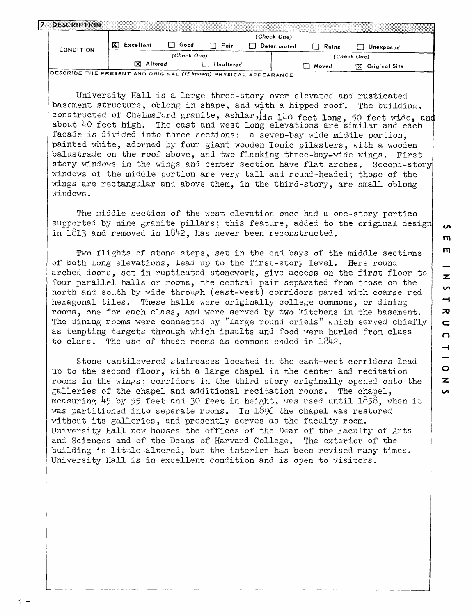| DESCRIPTION      |                |             |             |  |              |       |                    |  |  |
|------------------|----------------|-------------|-------------|--|--------------|-------|--------------------|--|--|
|                  | (Check One)    |             |             |  |              |       |                    |  |  |
| <b>CONDITION</b> | X<br>Excellent | Good        | $\Box$ Fair |  | Deterioroted | Ruins | Unexposed          |  |  |
|                  |                | (Check One) |             |  |              |       | (Check One)        |  |  |
|                  | Altered<br>ΙXΙ |             | Unaltered   |  |              | Moved | Original Site<br>M |  |  |
| $\overline{C}$   |                |             |             |  |              |       |                    |  |  |

DESCRIBE THE PRESENT AND ORIGINAL **(if known)** PHYSICAL APPEARANCE

University Hall is a large three-story over elevated and rusticated basement structure, oblong in shape, and with a hipped roof. The building, constructed of Chelmsford granite, ashlar, is 140 feet long, 50 feet wide, and about 40 feet high. The east and west long elevations are similar and each facade is divided into three sections: a seven-bay wide middle portion, painted white, adorned by four giant wooden Ionic pilasters, with a wooden balustrade on the roof above, and two flanking three-bay-wide wings. First story windows in the wings and center section have flat arches. Second-story windows of the middle portion are very tall and round-headed; those of the wings are rectangular and above them, in the third-story, are small oblong windows.

The middle section of the west elevation once had a one-story portico supported by nine granite pillars; this feature, added to the original design in  $1813$  and removed in  $1842$ , has never been reconstructed.

Two flights of stone steps, set in the end bays of the middle sections of both long elevations, lead up to the first-story level. Here round arched doors, set in rusticated stonework, give access on the first floor to four parallel halls or rooms, the central pair separated from those on the north and south by wide through (east-west) corridors paved with coarse red hexagonal tiles. These halls were originally college commons, or dining rooms, one for each class, and were served by two kitchens in the basement. The dining rooms were connected by "large round oriels" which served chiefly as tempting targets through which insults and food were hurled from class to class. The use of these rooms as commons ended in  $1842$ .

Stone cantilevered staircases located in the east-west corridors lead up to the second floor, with a large chapel in the center and recitation rooms in the wings; corridors in the third story originally opened onto the galleries of the chapel and additional recitation rooms. The chapel, measuring  $45$  by 55 feet and 30 feet in height, was used until 1858, when it was partitioned into seperate rooms. In 1896 the chapel was restored without its galleries, and presently serves as the faculty room. University Hall now houses the offices of the Dean of the Faculty of Arts and Sciences and of the Deans of Harvard College. The exterior of the building is little-altered, but the interior has been revised many times. University Hall is in excellent condition and is open to visitors.

 $\overline{a}$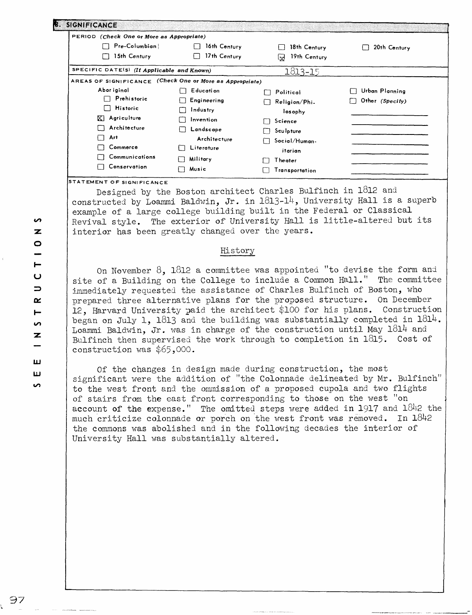| essistimonic -                                           |                              |                     |                 |
|----------------------------------------------------------|------------------------------|---------------------|-----------------|
| PERIOD (Check One or More as Appropriate)                |                              |                     |                 |
| Pre-Columbian                                            | 16th Century                 | 18th Century        | 20th Century    |
| 15th Century                                             | 17th Century<br>$\mathbf{1}$ | 19th Century<br>لجا |                 |
| SPECIFIC DATE(S) (If Applicable and Known)               |                              | 1813-15             |                 |
| AREAS OF SIGNIFICANCE (Check One or More as Appropriate) |                              |                     |                 |
| Abor iginal                                              | E ducati on                  | Political           | Urban Planning  |
| Prehistoric                                              | Engineering                  | Religion/Phi.       | Other (Specify) |
| <b>Historic</b><br>. .                                   | Industry                     | losophy             |                 |
| $\mathbb{X}$ Agriculture                                 | Invention                    | Science             |                 |
| Architecture                                             | Landscape                    | Sculpture           |                 |
| Art<br>П                                                 | Architecture                 | Social/Human-       |                 |
| Commerce<br>□                                            | Literature                   | itarian             |                 |
| Communications                                           | Military                     | Theater             |                 |
| Conservation<br>$\mathbf{1}$                             | Music                        | Transportation      |                 |

**STATEMENT OF SIGNIFICANCE** 

Designed by the Boston architect Charles Bulfinch in 1812 and constructed by Loammi Baldwin, Jr. in 1813-14, University Hall is a superb example of a large college building built in the Federal or Classical Revival style. The exterior of University Hall is little-altered but its interior has been greatly changed over the years.

## History

On November 8, 1812 a committee was appointed "to devise the form and site of a Building on the College to include a Common Hall." The committee immediately requested the assistance of Charles Bulfinch of Boston, who prepared three alternative plans for the proposed structure. On December 12, Harvard University paid the architect \$100 for his plans. Construction began on July 1, 1813 and the building was substantially completed in  $1814$ . Loammi Baldwin, Jr. was in charge of the construction until May  $181<sup>4</sup>$  and Bulfinch then supervised the work through to completion in 1815. Cost of construction was \$65,000.

Of the changes in design made during construction, the most significant were the addition of "the Colonnade delineated by Mr. Bulfinch" to the west front and the ommission of a proposed cupola and two flights of stairs from the east front corresponding to those on the west "on account of the expense." The omitted steps were added in  $1917$  and  $1842$  the much criticize colonnade or porch on the west front was removed. In  $1842$ the commons was abolished and in the following decades the interior of University Hall was substantially altered.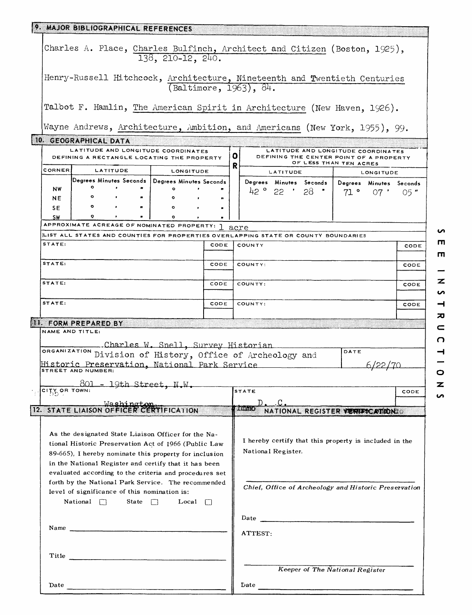| 9. MAJOR BIBLIOGRAPHICAL REFERENCES |                                                                                                                                                                                                                                                                                                                |                   |                                            |                                                                |  |      |                                                       |                                                                                            |           |           |      |  |  |
|-------------------------------------|----------------------------------------------------------------------------------------------------------------------------------------------------------------------------------------------------------------------------------------------------------------------------------------------------------------|-------------------|--------------------------------------------|----------------------------------------------------------------|--|------|-------------------------------------------------------|--------------------------------------------------------------------------------------------|-----------|-----------|------|--|--|
|                                     | Charles A. Place, Charles Bulfinch, Architect and Citizen (Boston, 1925),<br>138, 210-12, 240.                                                                                                                                                                                                                 |                   |                                            |                                                                |  |      |                                                       |                                                                                            |           |           |      |  |  |
|                                     | Henry-Russell Hitchcock, Architecture, Nineteenth and Twentieth Centuries<br>(Baltimore, 1963), 84.                                                                                                                                                                                                            |                   |                                            |                                                                |  |      |                                                       |                                                                                            |           |           |      |  |  |
|                                     | Talbot F. Hamlin, The American Spirit in Architecture (New Haven, 1926).                                                                                                                                                                                                                                       |                   |                                            |                                                                |  |      |                                                       |                                                                                            |           |           |      |  |  |
|                                     |                                                                                                                                                                                                                                                                                                                |                   |                                            |                                                                |  |      |                                                       | Wayne Andrews, Architecture, Ambition, and Americans (New York, 1955), 99.                 |           |           |      |  |  |
|                                     | 10. GEOGRAPHICAL DATA<br>LATITUDE AND LONGITUDE COORDINATES<br>LATITUDE AND LONGITUDE COORDINATES                                                                                                                                                                                                              |                   |                                            |                                                                |  |      |                                                       |                                                                                            |           |           |      |  |  |
|                                     |                                                                                                                                                                                                                                                                                                                |                   |                                            | DEFINING A RECTANGLE LOCATING THE PROPERTY                     |  |      | $\bullet$                                             | DEFINING THE CENTER POINT OF A PROPERTY<br>OF LESS THAN TEN ACRES                          |           |           |      |  |  |
| CORNER                              |                                                                                                                                                                                                                                                                                                                | LATITUDE          |                                            | LONGITUDE                                                      |  |      | R                                                     | LATITUDE                                                                                   | LONGITUDE |           |      |  |  |
| NW                                  | $\bullet$                                                                                                                                                                                                                                                                                                      | $\bullet$         |                                            | Degrees Minutes Seconds   Degrees Minutes Seconds<br>$\bullet$ |  |      |                                                       | Degrees Minutes Seconds   Degrees Minutes Seconds                                          |           |           |      |  |  |
| NE.                                 | $\bullet$                                                                                                                                                                                                                                                                                                      |                   | $\mathbf{r}$ , and the set of $\mathbf{r}$ | $\bullet$                                                      |  |      |                                                       | $42$ ° 22 $'$ 28 $'$                                                                       |           | 71°07'05" |      |  |  |
| <b>SE</b>                           | $\bullet$ .                                                                                                                                                                                                                                                                                                    | <b>Contractor</b> | $\mathbf{m}$                               | $\circ$                                                        |  |      |                                                       |                                                                                            |           |           |      |  |  |
| <b>SW</b>                           | o                                                                                                                                                                                                                                                                                                              |                   |                                            | $\bullet$<br>APPROXIMATE ACREAGE OF NOMINATED PROPERTY: 1      |  |      |                                                       |                                                                                            |           |           |      |  |  |
|                                     |                                                                                                                                                                                                                                                                                                                |                   |                                            |                                                                |  |      |                                                       | acre<br>LIST ALL STATES AND COUNTIES FOR PROPERTIES OVERLAPPING STATE OR COUNTY BOUNDARIES |           |           |      |  |  |
| STATE:                              |                                                                                                                                                                                                                                                                                                                |                   |                                            |                                                                |  | CODE |                                                       | COUNTY                                                                                     |           |           | CODE |  |  |
| STATE:                              |                                                                                                                                                                                                                                                                                                                |                   |                                            |                                                                |  | CODE |                                                       | COUNTY:                                                                                    |           |           |      |  |  |
| STATE:                              | CODE                                                                                                                                                                                                                                                                                                           |                   |                                            |                                                                |  |      | COUNTY:                                               | CODE                                                                                       |           |           |      |  |  |
| STATE:                              | CODE                                                                                                                                                                                                                                                                                                           |                   |                                            |                                                                |  |      |                                                       | COUNTY:                                                                                    |           |           | CODE |  |  |
| <b>11. FORM PREPARED BY</b>         |                                                                                                                                                                                                                                                                                                                |                   |                                            |                                                                |  |      |                                                       |                                                                                            |           |           |      |  |  |
|                                     | NAME AND TITLE:                                                                                                                                                                                                                                                                                                |                   |                                            |                                                                |  |      |                                                       |                                                                                            |           |           |      |  |  |
|                                     | _Charles W. Snell, Survey Historian<br>ORGANIZATION Division of History, Office of Archeology and<br>DATE                                                                                                                                                                                                      |                   |                                            |                                                                |  |      |                                                       |                                                                                            |           |           |      |  |  |
|                                     | Historic Preservation, National Park Service                                                                                                                                                                                                                                                                   |                   |                                            |                                                                |  |      |                                                       |                                                                                            |           |           |      |  |  |
|                                     | STREET AND NUMBER:                                                                                                                                                                                                                                                                                             |                   |                                            |                                                                |  |      |                                                       |                                                                                            |           |           |      |  |  |
|                                     | $801 - 19th$ Street, N.W.                                                                                                                                                                                                                                                                                      |                   |                                            |                                                                |  |      |                                                       |                                                                                            |           |           |      |  |  |
|                                     | $\mathsf{c}$ i $\mathsf{TS}$ or town:                                                                                                                                                                                                                                                                          |                   |                                            |                                                                |  |      |                                                       | <b>STATE</b>                                                                               |           |           | CODE |  |  |
|                                     | <b>Washington</b><br><b>IZ STATE LIARON OF HOLD CALLON</b>                                                                                                                                                                                                                                                     |                   |                                            |                                                                |  |      |                                                       | NATIONAL REGISTER VERIFICATION<br>E8006318)                                                |           |           |      |  |  |
|                                     |                                                                                                                                                                                                                                                                                                                |                   |                                            |                                                                |  |      |                                                       |                                                                                            |           |           |      |  |  |
|                                     | As the designated State Liaison Officer for the Na-<br>I hereby certify that this property is included in the<br>tional Historic Preservation Act of 1966 (Public Law<br>National Register.<br>89-665), I hereby nominate this property for inclusion<br>in the National Register and certify that it has been |                   |                                            |                                                                |  |      |                                                       |                                                                                            |           |           |      |  |  |
|                                     | evaluated according to the criteria and procedures set<br>forth by the National Park Service. The recommended<br>level of significance of this nomination is:<br>State $\Box$<br>$National \Box$<br>Local $\Box$                                                                                               |                   |                                            |                                                                |  |      | Chief, Office of Archeology and Historic Preservation |                                                                                            |           |           |      |  |  |
|                                     | Name $\frac{1}{2}$                                                                                                                                                                                                                                                                                             |                   |                                            |                                                                |  |      | ATTEST:                                               |                                                                                            |           |           |      |  |  |
|                                     | Title                                                                                                                                                                                                                                                                                                          |                   |                                            |                                                                |  |      |                                                       | Keeper of The National Register                                                            |           |           |      |  |  |
|                                     | Date $\overline{\phantom{0}}$                                                                                                                                                                                                                                                                                  |                   |                                            |                                                                |  |      |                                                       |                                                                                            |           |           |      |  |  |

 $\bullet$  $\mathbf{m}$  $\blacksquare$ 

 $\overline{\phantom{0}}$  $\overline{\mathbf{z}}$  $\overline{v}$  $\rightarrow$  $\overline{\mathbf{z}}$  $\subset$  $\Omega$ 

 $\begin{array}{c} 1 & 1 \\ 0 & 1 \end{array}$ 

 $\overline{\mathbf{z}}$  $\overline{v}$